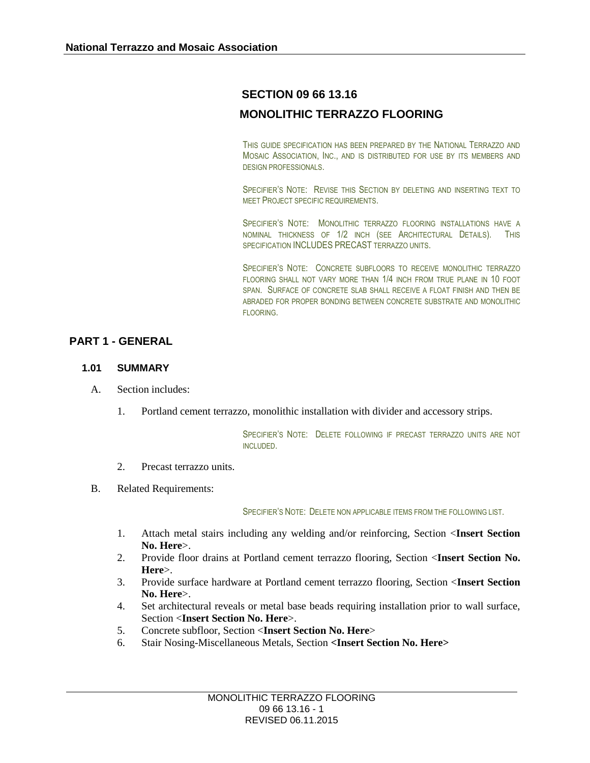# **SECTION 09 66 13.16**

# **MONOLITHIC TERRAZZO FLOORING**

THIS GUIDE SPECIFICATION HAS BEEN PREPARED BY THE NATIONAL TERRAZZO AND MOSAIC ASSOCIATION, INC., AND IS DISTRIBUTED FOR USE BY ITS MEMBERS AND DESIGN PROFESSIONALS.

SPECIFIER'S NOTE: REVISE THIS SECTION BY DELETING AND INSERTING TEXT TO MEET PROJECT SPECIFIC REQUIREMENTS.

SPECIFIER'S NOTE: MONOLITHIC TERRAZZO FLOORING INSTALLATIONS HAVE A NOMINAL THICKNESS OF 1/2 INCH (SEE ARCHITECTURAL DETAILS). THIS SPECIFICATION INCLUDES PRECAST TERRAZZO UNITS.

SPECIFIER'S NOTE: CONCRETE SUBFLOORS TO RECEIVE MONOLITHIC TERRAZZO FLOORING SHALL NOT VARY MORE THAN 1/4 INCH FROM TRUE PLANE IN 10 FOOT SPAN. SURFACE OF CONCRETE SLAB SHALL RECEIVE A FLOAT FINISH AND THEN BE ABRADED FOR PROPER BONDING BETWEEN CONCRETE SUBSTRATE AND MONOLITHIC FLOORING.

# **PART 1 - GENERAL**

### **1.01 SUMMARY**

- A. Section includes:
	- 1. Portland cement terrazzo, monolithic installation with divider and accessory strips.

SPECIFIER'S NOTE: DELETE FOLLOWING IF PRECAST TERRAZZO UNITS ARE NOT INCLUDED.

- 2. Precast terrazzo units.
- B. Related Requirements:

SPECIFIER'S NOTE: DELETE NON APPLICABLE ITEMS FROM THE FOLLOWING LIST.

- 1. Attach metal stairs including any welding and/or reinforcing, Section <**Insert Section No. Here**>.
- 2. Provide floor drains at Portland cement terrazzo flooring, Section <**Insert Section No. Here**>.
- 3. Provide surface hardware at Portland cement terrazzo flooring, Section <**Insert Section No. Here**>.
- 4. Set architectural reveals or metal base beads requiring installation prior to wall surface, Section <**Insert Section No. Here**>.
- 5. Concrete subfloor, Section <**Insert Section No. Here**>
- 6. Stair Nosing-Miscellaneous Metals, Section **<Insert Section No. Here>**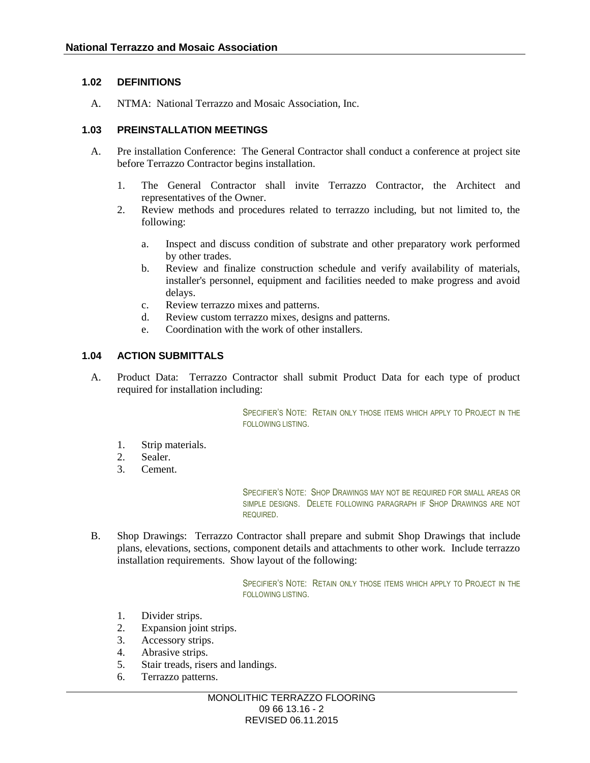### **1.02 DEFINITIONS**

A. NTMA: National Terrazzo and Mosaic Association, Inc.

### **1.03 PREINSTALLATION MEETINGS**

- A. Pre installation Conference: The General Contractor shall conduct a conference at project site before Terrazzo Contractor begins installation.
	- 1. The General Contractor shall invite Terrazzo Contractor, the Architect and representatives of the Owner.
	- 2. Review methods and procedures related to terrazzo including, but not limited to, the following:
		- a. Inspect and discuss condition of substrate and other preparatory work performed by other trades.
		- b. Review and finalize construction schedule and verify availability of materials, installer's personnel, equipment and facilities needed to make progress and avoid delays.
		- c. Review terrazzo mixes and patterns.
		- d. Review custom terrazzo mixes, designs and patterns.
		- e. Coordination with the work of other installers.

# **1.04 ACTION SUBMITTALS**

A. Product Data: Terrazzo Contractor shall submit Product Data for each type of product required for installation including:

> SPECIFIER'S NOTE: RETAIN ONLY THOSE ITEMS WHICH APPLY TO PROJECT IN THE FOLLOWING LISTING.

- 1. Strip materials.
- 2. Sealer.
- 3. Cement.

SPECIFIER'S NOTE: SHOP DRAWINGS MAY NOT BE REQUIRED FOR SMALL AREAS OR SIMPLE DESIGNS. DELETE FOLLOWING PARAGRAPH IF SHOP DRAWINGS ARE NOT REQUIRED.

B. Shop Drawings: Terrazzo Contractor shall prepare and submit Shop Drawings that include plans, elevations, sections, component details and attachments to other work. Include terrazzo installation requirements. Show layout of the following:

> SPECIFIER'S NOTE: RETAIN ONLY THOSE ITEMS WHICH APPLY TO PROJECT IN THE FOLLOWING LISTING.

- 1. Divider strips.
- 2. Expansion joint strips.
- 3. Accessory strips.
- 4. Abrasive strips.
- 5. Stair treads, risers and landings.
- 6. Terrazzo patterns.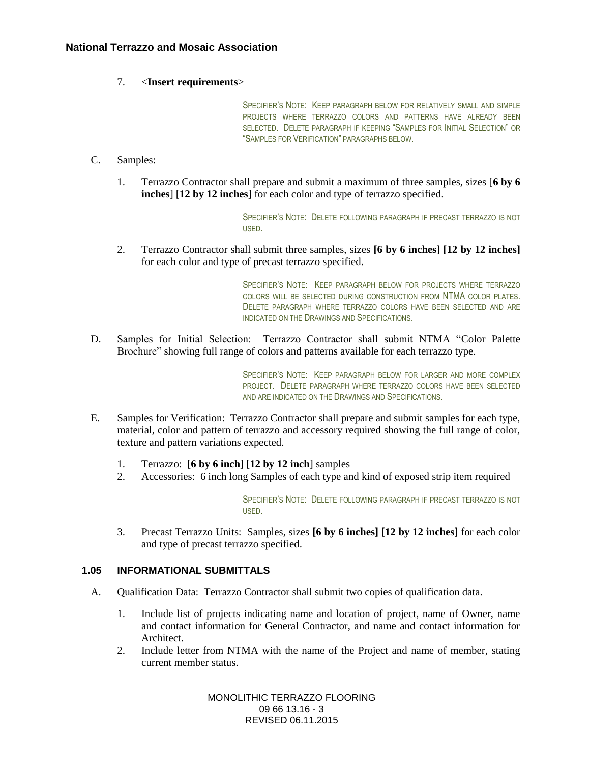### 7. <**Insert requirements**>

SPECIFIER'S NOTE: KEEP PARAGRAPH BELOW FOR RELATIVELY SMALL AND SIMPLE PROJECTS WHERE TERRAZZO COLORS AND PATTERNS HAVE ALREADY BEEN SELECTED. DELETE PARAGRAPH IF KEEPING "SAMPLES FOR INITIAL SELECTION" OR "SAMPLES FOR VERIFICATION" PARAGRAPHS BELOW.

### C. Samples:

1. Terrazzo Contractor shall prepare and submit a maximum of three samples, sizes [**6 by 6 inches**] [**12 by 12 inches**] for each color and type of terrazzo specified.

> SPECIFIER'S NOTE: DELETE FOLLOWING PARAGRAPH IF PRECAST TERRAZZO IS NOT USED.

2. Terrazzo Contractor shall submit three samples, sizes **[6 by 6 inches] [12 by 12 inches]** for each color and type of precast terrazzo specified.

> SPECIFIER'S NOTE: KEEP PARAGRAPH BELOW FOR PROJECTS WHERE TERRAZZO COLORS WILL BE SELECTED DURING CONSTRUCTION FROM NTMA COLOR PLATES. DELETE PARAGRAPH WHERE TERRAZZO COLORS HAVE BEEN SELECTED AND ARE INDICATED ON THE DRAWINGS AND SPECIFICATIONS.

D. Samples for Initial Selection: Terrazzo Contractor shall submit NTMA "Color Palette Brochure" showing full range of colors and patterns available for each terrazzo type.

> SPECIFIER'S NOTE: KEEP PARAGRAPH BELOW FOR LARGER AND MORE COMPLEX PROJECT. DELETE PARAGRAPH WHERE TERRAZZO COLORS HAVE BEEN SELECTED AND ARE INDICATED ON THE DRAWINGS AND SPECIFICATIONS.

- E. Samples for Verification: Terrazzo Contractor shall prepare and submit samples for each type, material, color and pattern of terrazzo and accessory required showing the full range of color, texture and pattern variations expected.
	- 1. Terrazzo: [**6 by 6 inch**] [**12 by 12 inch**] samples
	- 2. Accessories: 6 inch long Samples of each type and kind of exposed strip item required

SPECIFIER'S NOTE: DELETE FOLLOWING PARAGRAPH IF PRECAST TERRAZZO IS NOT USED.

3. Precast Terrazzo Units: Samples, sizes **[6 by 6 inches] [12 by 12 inches]** for each color and type of precast terrazzo specified.

### **1.05 INFORMATIONAL SUBMITTALS**

- A. Qualification Data: Terrazzo Contractor shall submit two copies of qualification data.
	- 1. Include list of projects indicating name and location of project, name of Owner, name and contact information for General Contractor, and name and contact information for Architect.
	- 2. Include letter from NTMA with the name of the Project and name of member, stating current member status.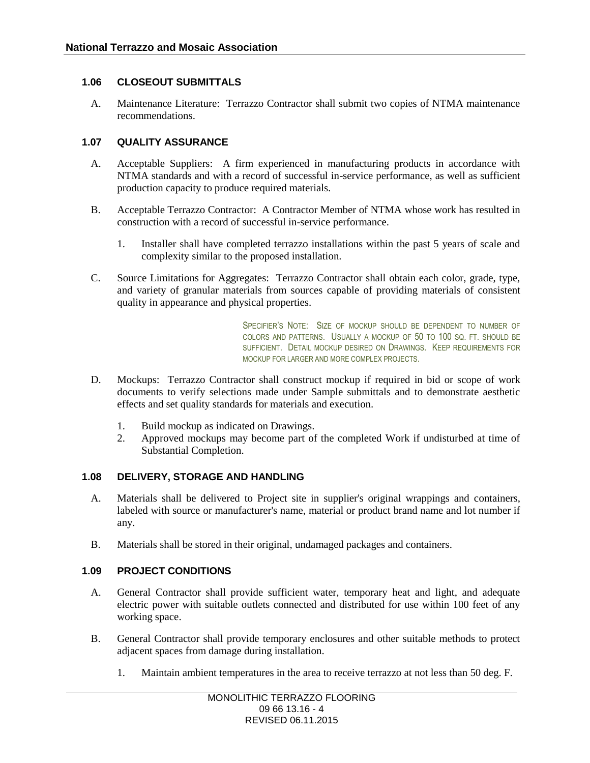# **1.06 CLOSEOUT SUBMITTALS**

A. Maintenance Literature: Terrazzo Contractor shall submit two copies of NTMA maintenance recommendations.

### **1.07 QUALITY ASSURANCE**

- A. Acceptable Suppliers: A firm experienced in manufacturing products in accordance with NTMA standards and with a record of successful in-service performance, as well as sufficient production capacity to produce required materials.
- B. Acceptable Terrazzo Contractor: A Contractor Member of NTMA whose work has resulted in construction with a record of successful in-service performance.
	- 1. Installer shall have completed terrazzo installations within the past 5 years of scale and complexity similar to the proposed installation.
- C. Source Limitations for Aggregates: Terrazzo Contractor shall obtain each color, grade, type, and variety of granular materials from sources capable of providing materials of consistent quality in appearance and physical properties.

SPECIFIER'S NOTE: SIZE OF MOCKUP SHOULD BE DEPENDENT TO NUMBER OF COLORS AND PATTERNS. USUALLY A MOCKUP OF 50 TO 100 SO. FT. SHOULD BE SUFFICIENT. DETAIL MOCKUP DESIRED ON DRAWINGS. KEEP REQUIREMENTS FOR MOCKUP FOR LARGER AND MORE COMPLEX PROJECTS.

- D. Mockups: Terrazzo Contractor shall construct mockup if required in bid or scope of work documents to verify selections made under Sample submittals and to demonstrate aesthetic effects and set quality standards for materials and execution.
	- 1. Build mockup as indicated on Drawings.
	- 2. Approved mockups may become part of the completed Work if undisturbed at time of Substantial Completion.

#### **1.08 DELIVERY, STORAGE AND HANDLING**

- A. Materials shall be delivered to Project site in supplier's original wrappings and containers, labeled with source or manufacturer's name, material or product brand name and lot number if any.
- B. Materials shall be stored in their original, undamaged packages and containers.

### **1.09 PROJECT CONDITIONS**

- A. General Contractor shall provide sufficient water, temporary heat and light, and adequate electric power with suitable outlets connected and distributed for use within 100 feet of any working space.
- B. General Contractor shall provide temporary enclosures and other suitable methods to protect adjacent spaces from damage during installation.
	- 1. Maintain ambient temperatures in the area to receive terrazzo at not less than 50 deg. F.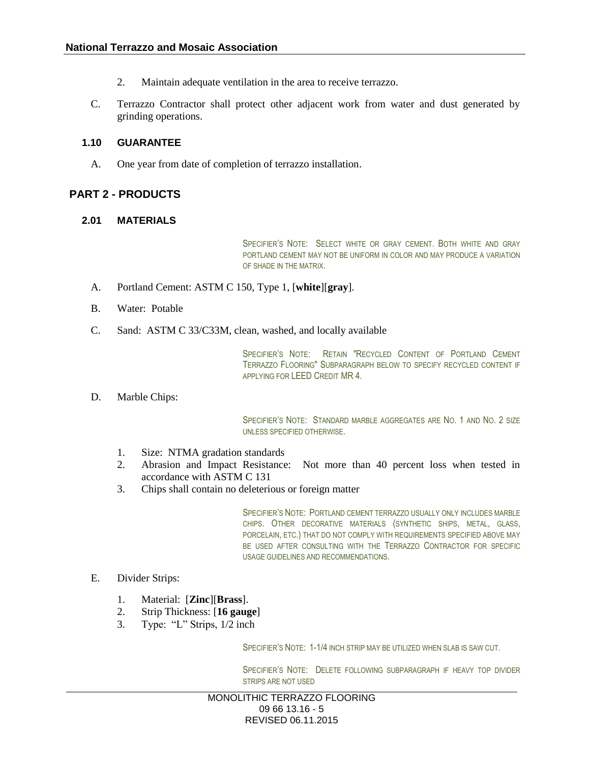- 2. Maintain adequate ventilation in the area to receive terrazzo.
- C. Terrazzo Contractor shall protect other adjacent work from water and dust generated by grinding operations.

#### **1.10 GUARANTEE**

A. One year from date of completion of terrazzo installation.

### **PART 2 - PRODUCTS**

#### **2.01 MATERIALS**

SPECIFIER'S NOTE: SELECT WHITE OR GRAY CEMENT. BOTH WHITE AND GRAY PORTLAND CEMENT MAY NOT BE UNIFORM IN COLOR AND MAY PRODUCE A VARIATION OF SHADE IN THE MATRIX.

- A. Portland Cement: ASTM C 150, Type 1, [**white**][**gray**].
- B. Water: Potable
- C. Sand: ASTM C 33/C33M, clean, washed, and locally available

SPECIFIER'S NOTE: RETAIN "RECYCLED CONTENT OF PORTLAND CEMENT TERRAZZO FLOORING" SUBPARAGRAPH BELOW TO SPECIFY RECYCLED CONTENT IF APPLYING FOR LEED CREDIT MR 4.

D. Marble Chips:

SPECIFIER'S NOTE: STANDARD MARBLE AGGREGATES ARE NO. 1 AND NO. 2 SIZE UNLESS SPECIFIED OTHERWISE.

- 1. Size: NTMA gradation standards
- 2. Abrasion and Impact Resistance: Not more than 40 percent loss when tested in accordance with ASTM C 131
- 3. Chips shall contain no deleterious or foreign matter

SPECIFIER'S NOTE: PORTLAND CEMENT TERRAZZO USUALLY ONLY INCLUDES MARBLE CHIPS. OTHER DECORATIVE MATERIALS (SYNTHETIC SHIPS, METAL, GLASS, PORCELAIN, ETC.) THAT DO NOT COMPLY WITH REQUIREMENTS SPECIFIED ABOVE MAY BE USED AFTER CONSULTING WITH THE TERRAZZO CONTRACTOR FOR SPECIFIC USAGE GUIDELINES AND RECOMMENDATIONS.

- E. Divider Strips:
	- 1. Material: [**Zinc**][**Brass**].
	- 2. Strip Thickness: [**16 gauge**]
	- 3. Type: "L" Strips, 1/2 inch

SPECIFIER'S NOTE: 1-1/4 INCH STRIP MAY BE UTILIZED WHEN SLAB IS SAW CUT.

SPECIFIER'S NOTE: DELETE FOLLOWING SUBPARAGRAPH IF HEAVY TOP DIVIDER STRIPS ARE NOT USED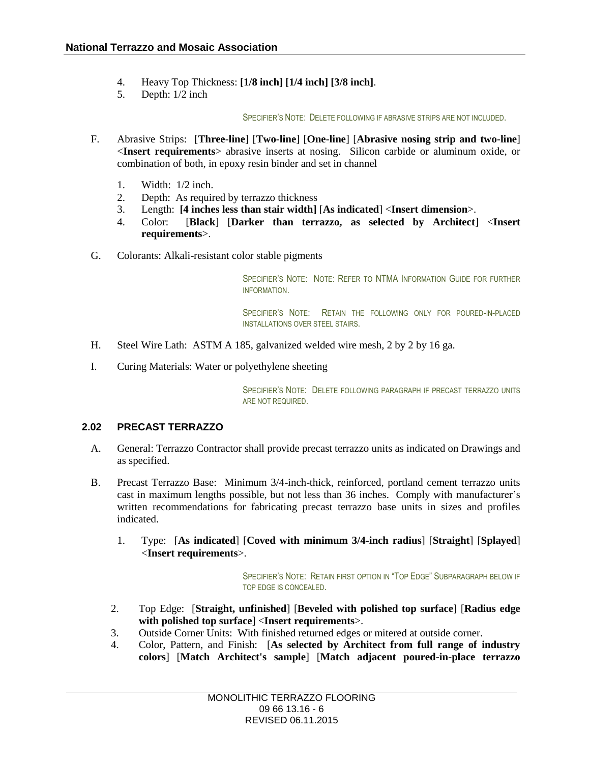- 4. Heavy Top Thickness: **[1/8 inch] [1/4 inch] [3/8 inch]**.
- 5. Depth: 1/2 inch

SPECIFIER'S NOTE: DELETE FOLLOWING IF ABRASIVE STRIPS ARE NOT INCLUDED.

- F. Abrasive Strips: [**Three-line**] [**Two-line**] [**One-line**] [**Abrasive nosing strip and two-line**] <**Insert requirements**> abrasive inserts at nosing. Silicon carbide or aluminum oxide, or combination of both, in epoxy resin binder and set in channel
	- 1. Width: 1/2 inch.
	- 2. Depth: As required by terrazzo thickness
	- 3. Length: **[4 inches less than stair width]** [**As indicated**] <**Insert dimension**>.
	- 4. Color: [**Black**] [**Darker than terrazzo, as selected by Architect**] <**Insert requirements**>.
- G. Colorants: Alkali-resistant color stable pigments

SPECIFIER'S NOTE: NOTE: REFER TO NTMA INFORMATION GUIDE FOR FURTHER INFORMATION.

SPECIFIER'S NOTE: RETAIN THE FOLLOWING ONLY FOR POURED-IN-PLACED INSTALLATIONS OVER STEEL STAIRS.

- H. Steel Wire Lath: ASTM A 185, galvanized welded wire mesh, 2 by 2 by 16 ga.
- I. Curing Materials: Water or polyethylene sheeting

SPECIFIER'S NOTE: DELETE FOLLOWING PARAGRAPH IF PRECAST TERRAZZO UNITS ARE NOT REQUIRED.

### **2.02 PRECAST TERRAZZO**

- A. General: Terrazzo Contractor shall provide precast terrazzo units as indicated on Drawings and as specified.
- B. Precast Terrazzo Base: Minimum 3/4-inch-thick, reinforced, portland cement terrazzo units cast in maximum lengths possible, but not less than 36 inches. Comply with manufacturer's written recommendations for fabricating precast terrazzo base units in sizes and profiles indicated.
	- 1. Type: [**As indicated**] [**Coved with minimum 3/4-inch radius**] [**Straight**] [**Splayed**] <**Insert requirements**>.

SPECIFIER'S NOTE: RETAIN FIRST OPTION IN "TOP EDGE" SUBPARAGRAPH BELOW IF TOP EDGE IS CONCEALED.

- 2. Top Edge: [**Straight, unfinished**] [**Beveled with polished top surface**] [**Radius edge with polished top surface**] <**Insert requirements**>.
- 3. Outside Corner Units: With finished returned edges or mitered at outside corner.
- 4. Color, Pattern, and Finish: [**As selected by Architect from full range of industry colors**] [**Match Architect's sample**] [**Match adjacent poured-in-place terrazzo**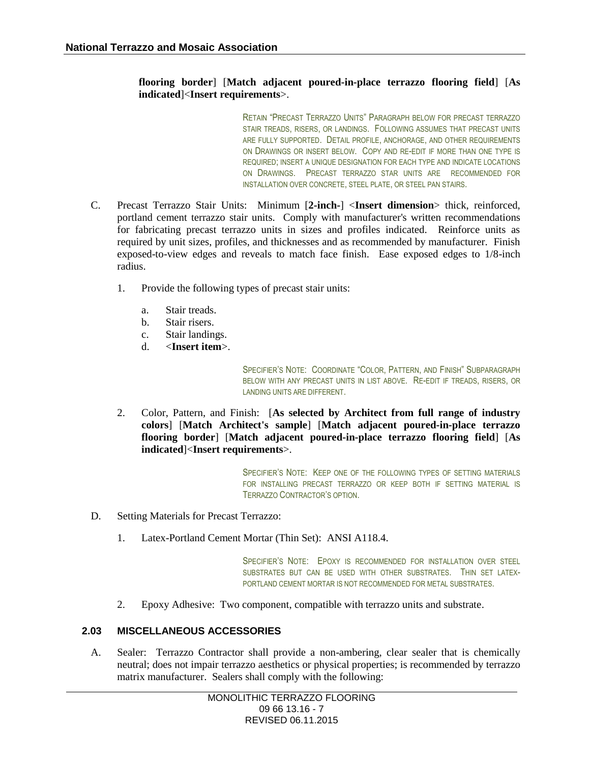# **flooring border**] [**Match adjacent poured-in-place terrazzo flooring field**] [**As indicated**]<**Insert requirements**>.

RETAIN "PRECAST TERRAZZO UNITS" PARAGRAPH BELOW FOR PRECAST TERRAZZO STAIR TREADS, RISERS, OR LANDINGS. FOLLOWING ASSUMES THAT PRECAST UNITS ARE FULLY SUPPORTED. DETAIL PROFILE, ANCHORAGE, AND OTHER REQUIREMENTS ON DRAWINGS OR INSERT BELOW. COPY AND RE-EDIT IF MORE THAN ONE TYPE IS REQUIRED; INSERT A UNIQUE DESIGNATION FOR EACH TYPE AND INDICATE LOCATIONS ON DRAWINGS. PRECAST TERRAZZO STAR UNITS ARE RECOMMENDED FOR INSTALLATION OVER CONCRETE, STEEL PLATE, OR STEEL PAN STAIRS.

- C. Precast Terrazzo Stair Units: Minimum [**2-inch-**] <**Insert dimension**> thick, reinforced, portland cement terrazzo stair units. Comply with manufacturer's written recommendations for fabricating precast terrazzo units in sizes and profiles indicated. Reinforce units as required by unit sizes, profiles, and thicknesses and as recommended by manufacturer. Finish exposed-to-view edges and reveals to match face finish. Ease exposed edges to 1/8-inch radius.
	- 1. Provide the following types of precast stair units:
		- a. Stair treads.
		- b. Stair risers.
		- c. Stair landings.
		- d. <**Insert item**>.

SPECIFIER'S NOTE: COORDINATE "COLOR, PATTERN, AND FINISH" SUBPARAGRAPH BELOW WITH ANY PRECAST UNITS IN LIST ABOVE. RE-EDIT IF TREADS, RISERS, OR LANDING UNITS ARE DIFFERENT.

2. Color, Pattern, and Finish: [**As selected by Architect from full range of industry colors**] [**Match Architect's sample**] [**Match adjacent poured-in-place terrazzo flooring border**] [**Match adjacent poured-in-place terrazzo flooring field**] [**As indicated**]<**Insert requirements**>.

> SPECIFIER'S NOTE: KEEP ONE OF THE FOLLOWING TYPES OF SETTING MATERIALS FOR INSTALLING PRECAST TERRAZZO OR KEEP BOTH IF SETTING MATERIAL IS TERRAZZO CONTRACTOR'S OPTION.

- D. Setting Materials for Precast Terrazzo:
	- 1. Latex-Portland Cement Mortar (Thin Set): ANSI A118.4.

SPECIFIER'S NOTE: EPOXY IS RECOMMENDED FOR INSTALLATION OVER STEEL SUBSTRATES BUT CAN BE USED WITH OTHER SUBSTRATES. THIN SET LATEX-PORTLAND CEMENT MORTAR IS NOT RECOMMENDED FOR METAL SUBSTRATES.

2. Epoxy Adhesive: Two component, compatible with terrazzo units and substrate.

## **2.03 MISCELLANEOUS ACCESSORIES**

A. Sealer: Terrazzo Contractor shall provide a non-ambering, clear sealer that is chemically neutral; does not impair terrazzo aesthetics or physical properties; is recommended by terrazzo matrix manufacturer. Sealers shall comply with the following: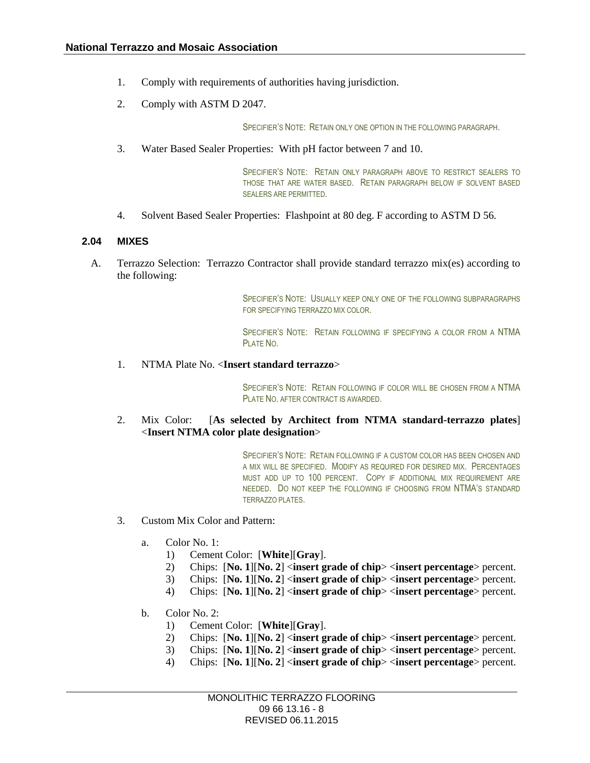- 1. Comply with requirements of authorities having jurisdiction.
- 2. Comply with ASTM D 2047.

SPECIFIER'S NOTE: RETAIN ONLY ONE OPTION IN THE FOLLOWING PARAGRAPH.

3. Water Based Sealer Properties: With pH factor between 7 and 10.

SPECIFIER'S NOTE: RETAIN ONLY PARAGRAPH ABOVE TO RESTRICT SEALERS TO THOSE THAT ARE WATER BASED. RETAIN PARAGRAPH BELOW IF SOLVENT BASED SEALERS ARE PERMITTED.

4. Solvent Based Sealer Properties: Flashpoint at 80 deg. F according to ASTM D 56.

#### **2.04 MIXES**

A. Terrazzo Selection: Terrazzo Contractor shall provide standard terrazzo mix(es) according to the following:

> SPECIFIER'S NOTE: USUALLY KEEP ONLY ONE OF THE FOLLOWING SUBPARAGRAPHS FOR SPECIFYING TERRAZZO MIX COLOR.

> SPECIFIER'S NOTE: RETAIN FOLLOWING IF SPECIFYING A COLOR FROM A NTMA PLATE NO.

1. NTMA Plate No. <**Insert standard terrazzo**>

SPECIFIER'S NOTE: RETAIN FOLLOWING IF COLOR WILL BE CHOSEN FROM A NTMA PLATE NO. AFTER CONTRACT IS AWARDED.

2. Mix Color: [**As selected by Architect from NTMA standard-terrazzo plates**] <**Insert NTMA color plate designation**>

> SPECIFIER'S NOTE: RETAIN FOLLOWING IF A CUSTOM COLOR HAS BEEN CHOSEN AND A MIX WILL BE SPECIFIED. MODIFY AS REQUIRED FOR DESIRED MIX. PERCENTAGES MUST ADD UP TO 100 PERCENT. COPY IF ADDITIONAL MIX REQUIREMENT ARE NEEDED. DO NOT KEEP THE FOLLOWING IF CHOOSING FROM NTMA'S STANDARD TERRAZZO PLATES.

- 3. Custom Mix Color and Pattern:
	- a. Color No. 1:
		- 1) Cement Color: [**White**][**Gray**].
		- 2) Chips: [**No. 1**][**No. 2**] <**insert grade of chip**> <**insert percentage**> percent.
		- 3) Chips: [**No. 1**][**No. 2**] <**insert grade of chip**> <**insert percentage**> percent.
		- 4) Chips: [**No. 1**][**No. 2**] <**insert grade of chip**> <**insert percentage**> percent.
	- b. Color No. 2:
		- 1) Cement Color: [**White**][**Gray**].
		- 2) Chips: [**No. 1**][**No. 2**] <**insert grade of chip**> <**insert percentage**> percent.
		- 3) Chips: [**No. 1**][**No. 2**] <**insert grade of chip**> <**insert percentage**> percent.
		- 4) Chips: [**No. 1**][**No. 2**] <**insert grade of chip**> <**insert percentage**> percent.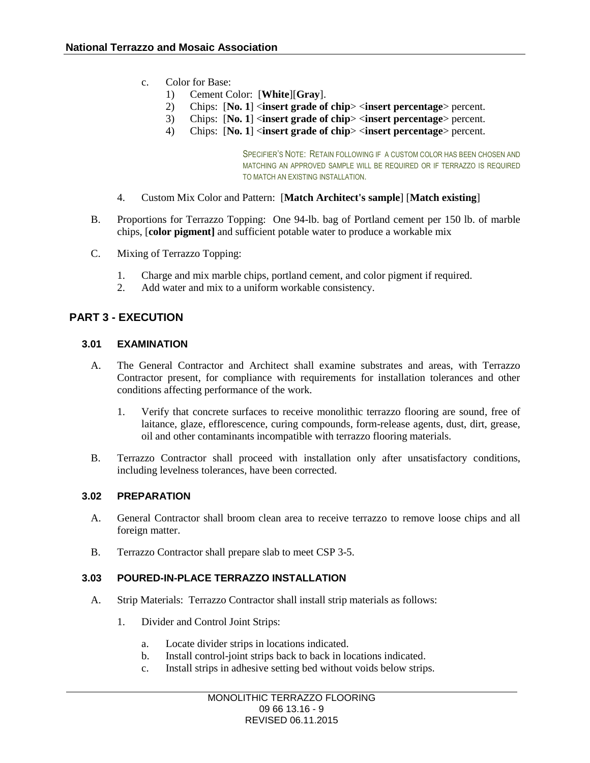- c. Color for Base:
	- 1) Cement Color: [**White**][**Gray**].
	- 2) Chips: [**No. 1**] <**insert grade of chip**> <**insert percentage**> percent.
	- 3) Chips: [**No. 1**] <**insert grade of chip**> <**insert percentage**> percent.
	- 4) Chips: [**No. 1**] <**insert grade of chip**> <**insert percentage**> percent.

SPECIFIER'S NOTE: RETAIN FOLLOWING IF A CUSTOM COLOR HAS BEEN CHOSEN AND MATCHING AN APPROVED SAMPLE WILL BE REQUIRED OR IF TERRAZZO IS REQUIRED TO MATCH AN EXISTING INSTALLATION.

- 4. Custom Mix Color and Pattern: [**Match Architect's sample**] [**Match existing**]
- B. Proportions for Terrazzo Topping: One 94-lb. bag of Portland cement per 150 lb. of marble chips, [**color pigment]** and sufficient potable water to produce a workable mix
- C. Mixing of Terrazzo Topping:
	- 1. Charge and mix marble chips, portland cement, and color pigment if required.
	- 2. Add water and mix to a uniform workable consistency.

# **PART 3 - EXECUTION**

### **3.01 EXAMINATION**

- A. The General Contractor and Architect shall examine substrates and areas, with Terrazzo Contractor present, for compliance with requirements for installation tolerances and other conditions affecting performance of the work.
	- 1. Verify that concrete surfaces to receive monolithic terrazzo flooring are sound, free of laitance, glaze, efflorescence, curing compounds, form-release agents, dust, dirt, grease, oil and other contaminants incompatible with terrazzo flooring materials.
- B. Terrazzo Contractor shall proceed with installation only after unsatisfactory conditions, including levelness tolerances, have been corrected.

### **3.02 PREPARATION**

- A. General Contractor shall broom clean area to receive terrazzo to remove loose chips and all foreign matter.
- B. Terrazzo Contractor shall prepare slab to meet CSP 3-5.

# **3.03 POURED-IN-PLACE TERRAZZO INSTALLATION**

- A. Strip Materials: Terrazzo Contractor shall install strip materials as follows:
	- 1. Divider and Control Joint Strips:
		- a. Locate divider strips in locations indicated.
		- b. Install control-joint strips back to back in locations indicated.
		- c. Install strips in adhesive setting bed without voids below strips.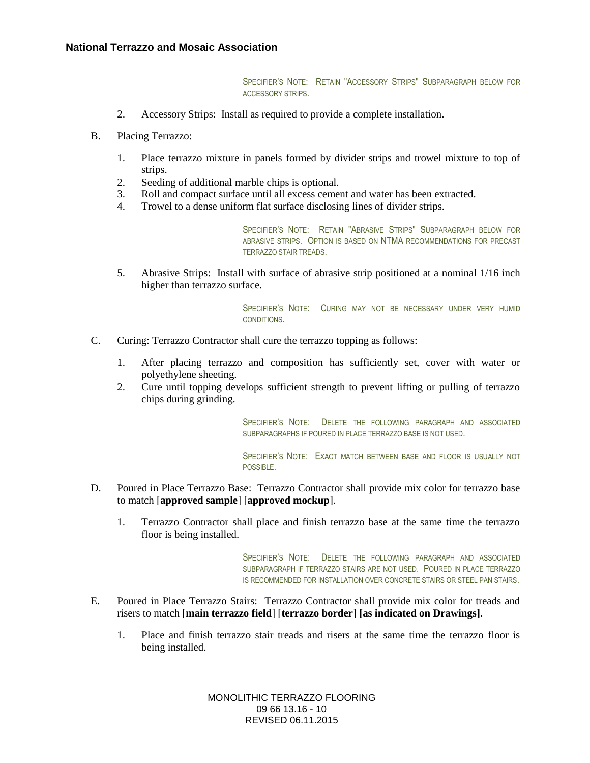SPECIFIER'S NOTE: RETAIN "ACCESSORY STRIPS" SUBPARAGRAPH BELOW FOR ACCESSORY STRIPS.

- 2. Accessory Strips: Install as required to provide a complete installation.
- B. Placing Terrazzo:
	- 1. Place terrazzo mixture in panels formed by divider strips and trowel mixture to top of strips.
	- 2. Seeding of additional marble chips is optional.
	- 3. Roll and compact surface until all excess cement and water has been extracted.
	- 4. Trowel to a dense uniform flat surface disclosing lines of divider strips.

SPECIFIER'S NOTE: RETAIN "ABRASIVE STRIPS" SUBPARAGRAPH BELOW FOR ABRASIVE STRIPS. OPTION IS BASED ON NTMA RECOMMENDATIONS FOR PRECAST TERRAZZO STAIR TREADS.

5. Abrasive Strips: Install with surface of abrasive strip positioned at a nominal 1/16 inch higher than terrazzo surface.

> SPECIFIER'S NOTE: CURING MAY NOT BE NECESSARY UNDER VERY HUMID CONDITIONS.

- C. Curing: Terrazzo Contractor shall cure the terrazzo topping as follows:
	- 1. After placing terrazzo and composition has sufficiently set, cover with water or polyethylene sheeting.
	- 2. Cure until topping develops sufficient strength to prevent lifting or pulling of terrazzo chips during grinding.

SPECIFIER'S NOTE: DELETE THE FOLLOWING PARAGRAPH AND ASSOCIATED SUBPARAGRAPHS IF POURED IN PLACE TERRAZZO BASE IS NOT USED.

SPECIFIER'S NOTE: EXACT MATCH BETWEEN BASE AND FLOOR IS USUALLY NOT POSSIBLE.

- D. Poured in Place Terrazzo Base: Terrazzo Contractor shall provide mix color for terrazzo base to match [**approved sample**] [**approved mockup**].
	- 1. Terrazzo Contractor shall place and finish terrazzo base at the same time the terrazzo floor is being installed.

SPECIFIER'S NOTE: DELETE THE FOLLOWING PARAGRAPH AND ASSOCIATED SUBPARAGRAPH IF TERRAZZO STAIRS ARE NOT USED. POURED IN PLACE TERRAZZO IS RECOMMENDED FOR INSTALLATION OVER CONCRETE STAIRS OR STEEL PAN STAIRS.

- E. Poured in Place Terrazzo Stairs: Terrazzo Contractor shall provide mix color for treads and risers to match [**main terrazzo field**] [**terrazzo border**] **[as indicated on Drawings]**.
	- 1. Place and finish terrazzo stair treads and risers at the same time the terrazzo floor is being installed.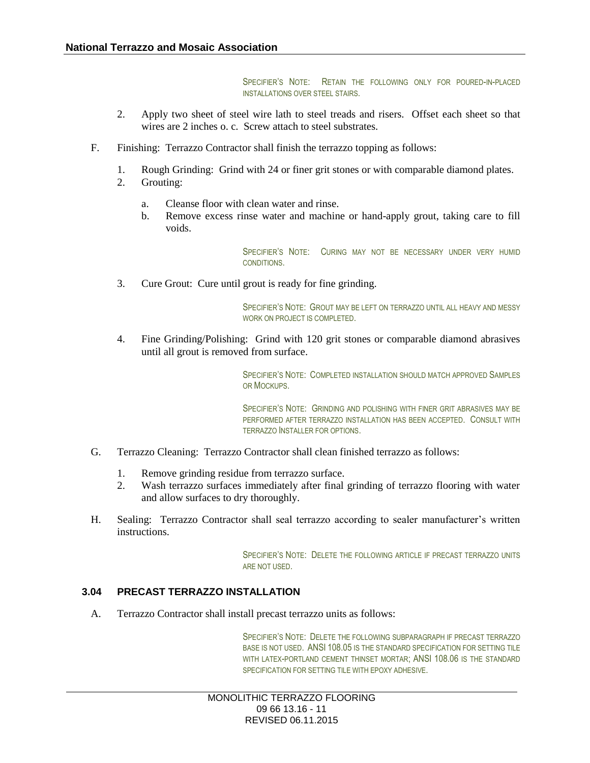SPECIFIER'S NOTE: RETAIN THE FOLLOWING ONLY FOR POURED-IN-PLACED INSTALLATIONS OVER STEEL STAIRS.

- 2. Apply two sheet of steel wire lath to steel treads and risers. Offset each sheet so that wires are 2 inches o. c. Screw attach to steel substrates.
- F. Finishing: Terrazzo Contractor shall finish the terrazzo topping as follows:
	- 1. Rough Grinding: Grind with 24 or finer grit stones or with comparable diamond plates.
	- 2. Grouting:
		- a. Cleanse floor with clean water and rinse.
		- b. Remove excess rinse water and machine or hand-apply grout, taking care to fill voids.

SPECIFIER'S NOTE: CURING MAY NOT BE NECESSARY UNDER VERY HUMID CONDITIONS.

3. Cure Grout: Cure until grout is ready for fine grinding.

SPECIFIER'S NOTE: GROUT MAY BE LEFT ON TERRAZZO UNTIL ALL HEAVY AND MESSY WORK ON PROJECT IS COMPLETED.

4. Fine Grinding/Polishing: Grind with 120 grit stones or comparable diamond abrasives until all grout is removed from surface.

> SPECIFIER'S NOTE: COMPLETED INSTALLATION SHOULD MATCH APPROVED SAMPLES OR MOCKUPS.

> SPECIFIER'S NOTE: GRINDING AND POLISHING WITH FINER GRIT ABRASIVES MAY BE PERFORMED AFTER TERRAZZO INSTALLATION HAS BEEN ACCEPTED. CONSULT WITH TERRAZZO INSTALLER FOR OPTIONS.

- G. Terrazzo Cleaning: Terrazzo Contractor shall clean finished terrazzo as follows:
	- 1. Remove grinding residue from terrazzo surface.
	- 2. Wash terrazzo surfaces immediately after final grinding of terrazzo flooring with water and allow surfaces to dry thoroughly.
- H. Sealing: Terrazzo Contractor shall seal terrazzo according to sealer manufacturer's written instructions.

SPECIFIER'S NOTE: DELETE THE FOLLOWING ARTICLE IF PRECAST TERRAZZO UNITS ARE NOT USED.

### **3.04 PRECAST TERRAZZO INSTALLATION**

A. Terrazzo Contractor shall install precast terrazzo units as follows:

SPECIFIER'S NOTE: DELETE THE FOLLOWING SUBPARAGRAPH IF PRECAST TERRAZZO BASE IS NOT USED. ANSI 108.05 IS THE STANDARD SPECIFICATION FOR SETTING TILE WITH LATEX-PORTLAND CEMENT THINSET MORTAR: ANSI 108.06 IS THE STANDARD SPECIFICATION FOR SETTING TILE WITH EPOXY ADHESIVE.